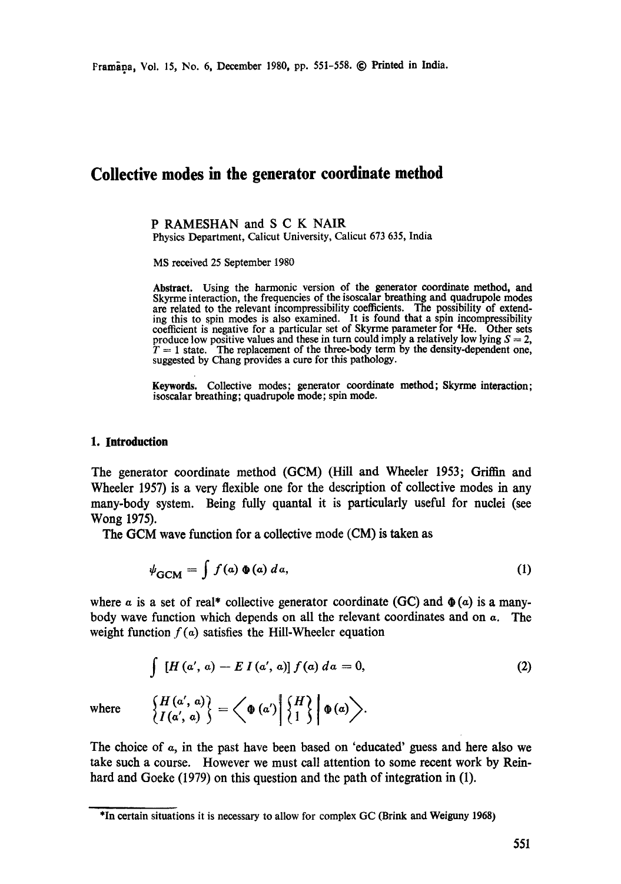# **Collective modes in the generator coordinate method**

**P RAMESHAN and S C K NAIR**  Physics Department, Calicut University, Calicut 673 635, India

MS received 25 September 1980

Abstract. Using the harmonic version of the generator coordinate method, and Skyrme interaction, the frequencies of the isoscalar breathing and quadrupole modes are related to the relevant incompressibility coefficients. The possibility of extending this to spin modes is also examined. It is found that a spin incompressibility coefficient is negative for a particular set of Skyrme parameter for \*He. Other sets produce low positive values and these in turn could imply a relatively low lying  $S = 2$ ,  $T = 1$  state. The replacement of the three-body term by the density-dependent one, suggested by Chang provides a cure for this pathology.

Keywords. Collective modes; generator coordinate method; Skyrme interaction; isoscalar breathing; quadrupole mode; spin mode.

#### **1. Introduction**

The generator coordinate method (GCM) (Hill and Wheeler 1953; Griffan and Wheeler 1957) is a very flexible one for the description of collective modes in any many-body system. Being fully quantal it is particularly useful for nuclei (see Wong 1975).

The GCM wave function for a collective mode (CM) is taken as

$$
\psi_{\text{GCM}} = \int f(a) \, \Phi(a) \, da,\tag{1}
$$

where a is a set of real\* collective generator coordinate (GC) and  $\phi(\alpha)$  is a manybody wave function which depends on all the relevant coordinates and on  $\alpha$ . The weight function  $f(a)$  satisfies the Hill-Wheeler equation

$$
\int [H(a', a) - E I(a', a)] f(a) \, da = 0,\tag{2}
$$

where  $\left\{\n \begin{array}{l}\n H(a', a) \\
H(a', a)\n \end{array}\n \right\} = \left\langle\n \Phi(a')\n \left|\n \begin{array}{l}\n H \\
1\n \end{array}\n \right|\n \Phi(a)\n \right\rangle.$ 

The choice of  $\alpha$ , in the past have been based on 'educated' guess and here also we take such a course. However we must call attention to some recent work by Reinhard and Goeke (1979) on this question and the path of integration in (1).

<sup>\*</sup>In certain situations it is necessary to allow for complex GC (Brink and Weiguny 1968)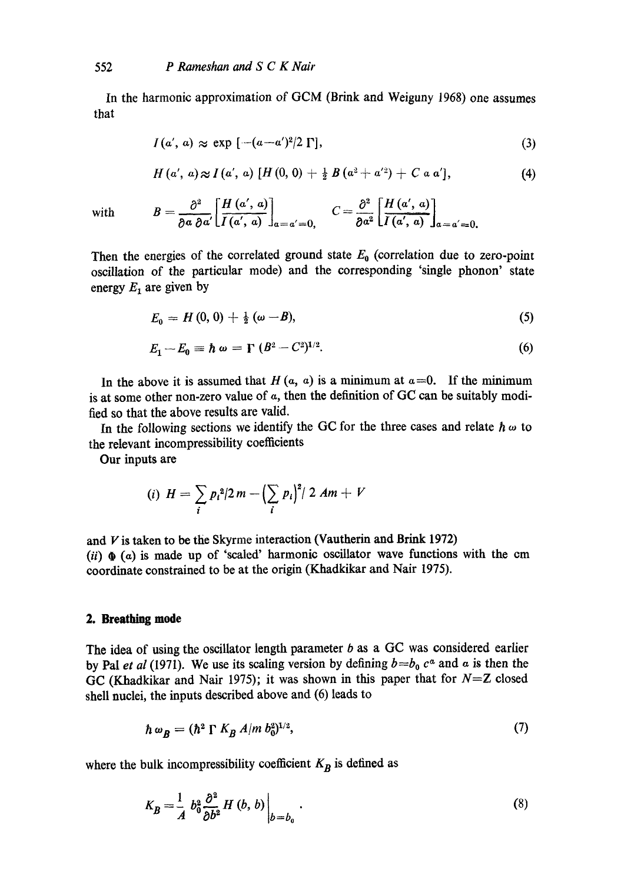In the harmonic approximation of GCM (Brink and Weiguny 1968) one assumes that

$$
I(a', a) \approx \exp\left[-(a-a')^2/2\,\Gamma\right],\tag{3}
$$

$$
H(a', a) \approx I(a', a) [H(0, 0) + \frac{1}{2} B(a^2 + a'^2) + C a a'], \qquad (4)
$$

with

$$
B=\frac{\partial^2}{\partial a \partial a'}\left[\frac{H(a', a)}{I(a', a)}\right]_{a=a'=0,}\quad C=\frac{\partial^2}{\partial a^2}\left[\frac{H(a', a)}{I(a', a)}\right]_{a=a'=0,}
$$

Then the energies of the correlated ground state  $E_0$  (correlation due to zero-point oscillation of the particular mode) and the corresponding 'single phonon' state energy  $E_1$  are given by

$$
E_0 = H(0,0) + \frac{1}{2}(\omega - B), \tag{5}
$$

$$
E_1 - E_0 \equiv \hbar \omega = \Gamma (B^2 - C^2)^{1/2}.
$$
 (6)

In the above it is assumed that  $H(a, a)$  is a minimum at  $a = 0$ . If the minimum is at some other non-zero value of a, then the definition of GC can be suitably modified so that the above results are valid.

In the following sections we identify the GC for the three cases and relate  $h \omega$  to the relevant incompressibility coefficients

Our inputs are

$$
(i) \ \ H = \sum_{i} p_{i}^{2}/2m - \left(\sum_{i} p_{i}\right)^{2}/2Am + V
$$

and  $V$  is taken to be the Skyrme interaction (Vautherin and Brink 1972)

(*ii*)  $\Phi$  (*a*) is made up of 'scaled' harmonic oscillator wave functions with the cm coordinate constrained to be at the origin (Khadkikar and Nair 1975).

# **2. Breathing mode**

The idea of using the oscillator length parameter  $b$  as a GC was considered earlier by Pal *et al* (1971). We use its scaling version by defining  $b=b_0 c^a$  and a is then the GC (Khadkikar and Nair 1975); it was shown in this paper that for *N=Z* closed shell nuclei, the inputs described above and (6) leads to

$$
\hbar \omega_B = (\hbar^2 \Gamma K_B A/m b_0^{2})^{1/2},\tag{7}
$$

where the bulk incompressibility coefficient  $K_B$  is defined as

$$
K_B = \frac{1}{A} b_0^2 \frac{\partial^2}{\partial b^2} H(b, b) \Big|_{b=b_0} .
$$
 (8)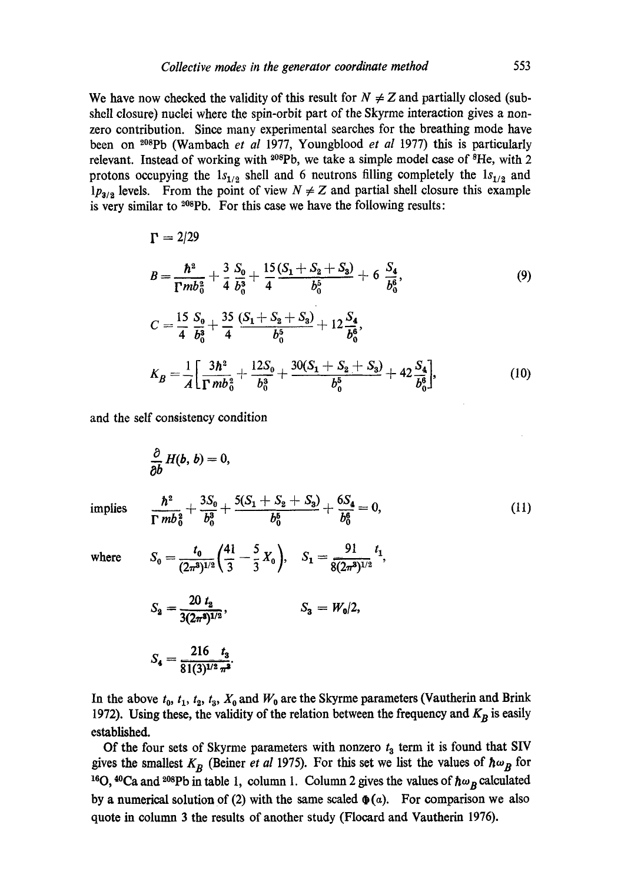We have now checked the validity of this result for  $N \neq Z$  and partially closed (subshell closure) nuclei where the spin-orbit part of the Skyrme interaction gives a nonzero contribution. Since many experimental searches for the breathing mode have been on <sup>208</sup>Pb (Wambach *et al* 1977, Youngblood *et al* 1977) this is particularly relevant. Instead of working with <sup>208</sup>Pb, we take a simple model case of <sup>8</sup>He, with 2 protons occupying the  $1s_{1/2}$  shell and 6 neutrons filling completely the  $1s_{1/2}$  and  $1p_{3/3}$  levels. From the point of view  $N \neq Z$  and partial shell closure this example is very similar to <sup>208</sup>Pb. For this case we have the following results:

$$
\Gamma = 2/29
$$
\n
$$
B = \frac{\hbar^2}{\Gamma mb_0^2} + \frac{3}{4} \frac{S_0}{b_0^3} + \frac{15}{4} \frac{(S_1 + S_2 + S_3)}{b_0^5} + 6 \frac{S_4}{b_0^6},
$$
\n
$$
C = \frac{15}{4} \frac{S_0}{b_0^3} + \frac{35}{4} \frac{(S_1 + S_2 + S_3)}{b_0^5} + 12 \frac{S_4}{b_0^6},
$$
\n
$$
K_B = \frac{1}{A} \Big[ \frac{3\hbar^2}{\Gamma mb_0^2} + \frac{12S_0}{b_0^3} + \frac{30(S_1 + S_2 + S_3)}{b_0^5} + 42 \frac{S_4}{b_0^6} \Big],
$$
\n(10)

and the self consistency condition

$$
\frac{\partial}{\partial b} H(b, b) = 0,
$$
  
\nimplies 
$$
\frac{\hbar^2}{\Gamma m b_0^2} + \frac{3S_0}{b_0^3} + \frac{5(S_1 + S_2 + S_3)}{b_0^5} + \frac{6S_4}{b_0^6} = 0,
$$
 (11)  
\nwhere 
$$
S_0 = \frac{t_0}{(2\pi^3)^{1/2}} \left(\frac{41}{3} - \frac{5}{3}X_0\right), \quad S_1 = \frac{91}{8(2\pi^3)^{1/2}} t_1,
$$
  
\n
$$
S_2 = \frac{20 t_2}{3(2\pi^3)^{1/2}}, \quad S_3 = W_0/2,
$$

$$
S_4 = \frac{216}{81(3)^{1/2} \pi^2}.
$$

In the above  $t_0$ ,  $t_1$ ,  $t_2$ ,  $t_3$ ,  $X_0$  and  $W_0$  are the Skyrme parameters (Vautherin and Brink 1972). Using these, the validity of the relation between the frequency and  $K_B$  is easily established.

Of the four sets of Skyrme parameters with nonzero  $t_3$  term it is found that SIV gives the smallest  $K_B$  (Beiner *et al* 1975). For this set we list the values of  $\hbar \omega_B$  for <sup>16</sup>O, <sup>40</sup>Ca and <sup>208</sup>Pb in table 1, column 1. Column 2 gives the values of  $\hbar \omega_B$  calculated by a numerical solution of (2) with the same scaled  $\phi(a)$ . For comparison we also quote in column 3 the results of another study (Flocard and Vautherin 1976).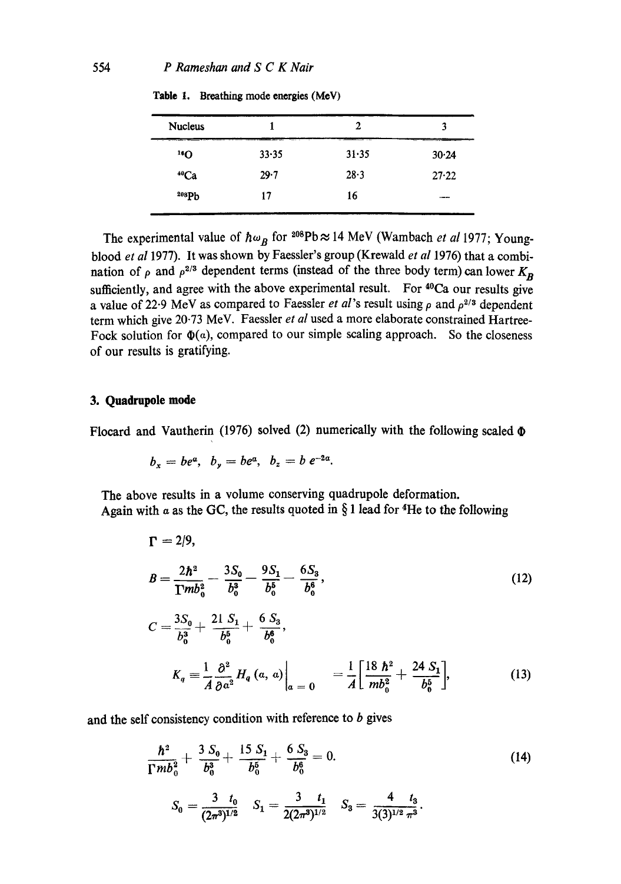| <b>Nucleus</b>  |       | 2     | 3     |
|-----------------|-------|-------|-------|
| 10 <sub>0</sub> | 33.35 | 31.35 | 30.24 |
| 40Ca            | 29.7  | 28.3  | 27.22 |
| 308Pb           | 17    | 16    | ---   |
|                 |       |       |       |

**Table** I. Breathing **mode energies** (MeV)

The experimental value of  $\hbar \omega_B$  for <sup>208</sup>Pb  $\approx$  14 MeV (Wambach *et al* 1977; Youngblood *et al* 1977). It was shown by Faessler's group (Krewald *et al* 1976) that a combination of  $\rho$  and  $\rho^{2/3}$  dependent terms (instead of the three body term) can lower  $K_{\bf p}$ sufficiently, and agree with the above experimental result. For  $40Ca$  our results give a value of 22.9 MeV as compared to Faessler *et al*'s result using  $\rho$  and  $\rho^{2/3}$  dependent term which give 20.73 MeV. Faessler *et al* used a more elaborate constrained Hartree-Fock solution for  $\Phi(a)$ , compared to our simple scaling approach. So the closeness of our results is gratifying.

#### **3. Quadrupole mode**

Flocard and Vautherin (1976) solved (2) numerically with the following scaled  $\Phi$ 

$$
b_x = be^a, b_y = be^a, b_z = b e^{-2a}.
$$

The above results in a volume conserving quadrupole deformation. Again with  $\alpha$  as the GC, the results quoted in § 1 lead for <sup>4</sup>He to the following

$$
\Gamma = 2/9,
$$
\n
$$
B = \frac{2\hbar^2}{\Gamma m b_0^2} - \frac{3S_0}{b_0^3} - \frac{9S_1}{b_0^5} - \frac{6S_3}{b_0^6},
$$
\n
$$
C = \frac{3S_0}{b_0^3} + \frac{21}{b_0^5} \frac{S_1}{b_0^5} + \frac{6S_3}{b_0^6},
$$
\n
$$
K_q = \frac{1}{A} \frac{\partial^2}{\partial a^2} H_q(a, a) \Big|_{a = 0} = \frac{1}{A} \left[ \frac{18 \hbar^2}{m b_0^2} + \frac{24 S_1}{b_0^5} \right],
$$
\n(13)

and the self consistency condition with reference to  $b$  gives

$$
\frac{\hbar^2}{\Gamma mb_0^2} + \frac{3 S_0}{b_0^3} + \frac{15 S_1}{b_0^5} + \frac{6 S_3}{b_0^6} = 0.
$$
\n
$$
S_0 = \frac{3 t_0}{(2\pi^3)^{1/2}} \quad S_1 = \frac{3 t_1}{2(2\pi^3)^{1/2}} \quad S_3 = \frac{4 t_3}{3(3)^{1/2} \pi^3}.
$$
\n(14)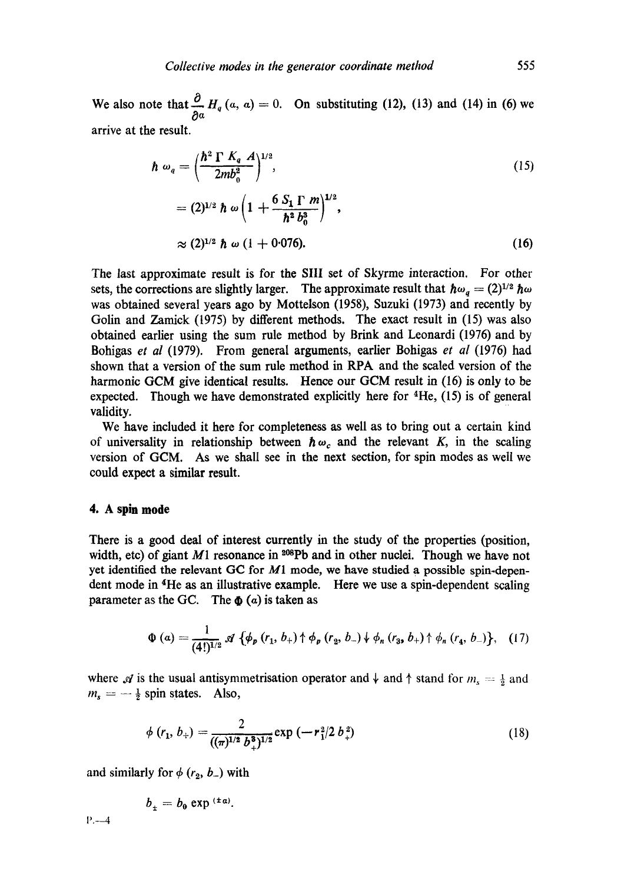We also note that  $H_q(a, a) = 0$ . 0a arrive at the result. On substituting  $(12)$ ,  $(13)$  and  $(14)$  in  $(6)$  we

$$
\hbar \omega_q = \left(\frac{\hbar^2 \Gamma K_q A}{2m b_0^2}\right)^{1/2},\tag{15}
$$
\n
$$
= (2)^{1/2} \hbar \omega \left(1 + \frac{6 S_1 \Gamma m}{\hbar^2 b_0^3}\right)^{1/2},\tag{16}
$$
\n
$$
\approx (2)^{1/2} \hbar \omega (1 + 0.076).
$$

The last approximate result is for the Sill set of Skyrme interaction. For other sets, the corrections are slightly larger. The approximate result that  $\hbar \omega_q = (2)^{1/2} \hbar \omega$ was obtained several years ago by Mottelson (1958), Suzuki (1973) and recently by Golin and Zamick (1975) by different methods. The exact result in (15) was also obtained earlier using the sum rule method by Brink and Leonardi (1976) and by Bohigas *et al* (1979). From general arguments, earlier Bohigas *et al* (1976) had shown that a version of the sum rule method in RPA and the scaled version of the harmonic GCM give identical results. Hence our GCM result in (16) is only to be expected. Though we have demonstrated explicitly here for  ${}^{4}$ He, (15) is of general validity.

We have included it here for completeness as well as to bring out a certain kind of universality in relationship between  $\hbar \omega_c$  and the relevant K, in the scaling version of GCM. As we shall see in the next section, for spin modes as well we could expect a similar result.

#### **4. A spin mode**

There is a good deal of interest currently in the study of the properties (position, width, etc) of giant M1 resonance in  $208 \text{Pb}$  and in other nuclei. Though we have not yet identified the relevant GC for MI mode, we have studied a possible spin-dependent mode in 4He as an illustrative example. Here we use a spin-dependent scaling parameter as the GC. The  $\Phi$  (a) is taken as

$$
\Phi\left(a\right) = \frac{1}{(4!)^{1/2}} \mathcal{A}\left\{\phi_{p}\left(r_{1}, b_{+}\right) \uparrow \phi_{p}\left(r_{2}, b_{-}\right) \downarrow \phi_{n}\left(r_{3}, b_{+}\right) \uparrow \phi_{n}\left(r_{4}, b_{-}\right)\right\},\quad(17)
$$

where  $\mathcal A$  is the usual antisymmetrisation operator and  $\downarrow$  and  $\uparrow$  stand for  $m_s = \frac{1}{2}$  and  $m_s = -\frac{1}{2}$  spin states. Also,

$$
\phi(r_1, b_+) = \frac{2}{((\pi)^{1/2} b_+^3)^{1/2}} \exp(-r_1^2/2 b_+^2)
$$
\n(18)

and similarly for  $\phi$  ( $r_2$ ,  $b_-$ ) with

$$
b_{\pm}=b_0\exp{^{(\pm a)}}.
$$

1'.--4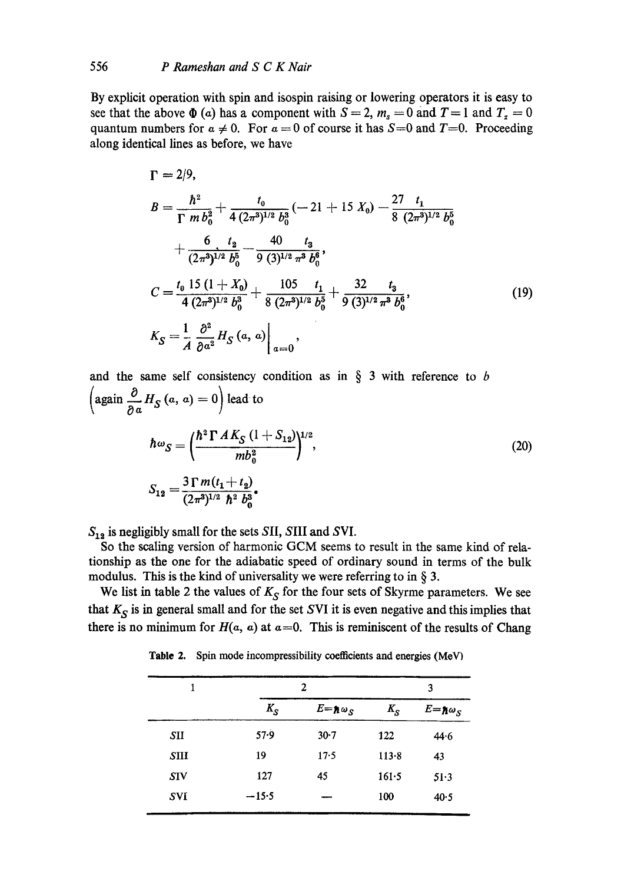By explicit operation with spin and isospin raising or lowering operators it is easy to see that the above  $\Phi$  (a) has a component with  $S = 2$ ,  $m_s = 0$  and  $T = 1$  and  $T_s = 0$ quantum numbers for  $a \neq 0$ . For  $a = 0$  of course it has  $S=0$  and  $T=0$ . Proceeding along identical lines as before, we have

$$
\Gamma = 2/9,
$$
\n
$$
B = \frac{\hbar^2}{\Gamma m b_0^2} + \frac{t_0}{4 (2\pi^3)^{1/2} b_0^3} (-21 + 15 X_0) - \frac{27}{8 (2\pi^3)^{1/2} b_0^5} + \frac{6}{(2\pi^3)^{1/2} b_0^5} - \frac{40}{9 (3)^{1/2} \pi^3 b_0^6},
$$
\n
$$
C = \frac{t_0 15 (1 + X_0)}{4 (2\pi^3)^{1/2} b_0^3} + \frac{105}{8 (2\pi^3)^{1/2} b_0^5} + \frac{32}{9 (3)^{1/2} \pi^3 b_0^6},
$$
\n
$$
K_S = \frac{1}{A} \frac{\partial^2}{\partial a^2} H_S(a, a) \Big|_{a=0},
$$
\n(19)

and the same self consistency condition as in  $\S$  3 with reference to b again  $\frac{6}{2a}H_S(a, a) = 0$  lead to  $h^{3} = \frac{m h^{2}}{m h^{2}}$  $(h^2 \Gamma A K_S$   $(1 + S_{12})$ <sup>1/2</sup>  $S_{\rm c} = {}^{3} \Gamma m (t_1 + t_2)$  $(2\pi^3)^{1/2}$   $\hbar^2$   $b^3$ (20)

 $S_{12}$  is negligibly small for the sets SII, SIII and SVI.

So the sealing version of harmonic GCM seems to result in the same kind of relationship as the one for the adiabatic speed of ordinary sound in terms of the bulk modulus. This is the kind of universality we were referring to in  $\S$  3.

We list in table 2 the values of  $K_S$  for the four sets of Skyrme parameters. We see that  $K_S$  is in general small and for the set SVI it is even negative and this implies that there is no minimum for  $H(a, a)$  at  $a=0$ . This is reminiscent of the results of Chang

Table 2. Spin mode incompressibility coefficients and energies (MeV)

| 1          | 2        |                      | 3       |                      |
|------------|----------|----------------------|---------|----------------------|
|            | $K_S$    | $E = \hbar \omega_S$ | $K_{S}$ | $E = \hbar \omega_S$ |
| SII        | $57 - 9$ | $30 - 7$             | 122     | 44.6                 |
| SIII       | 19       | $17-5$               | 113.8   | 43                   |
| <b>SIV</b> | 127      | 45                   | 161.5   | 51.3                 |
| SVI        | $-15.5$  |                      | 100     | 40.5                 |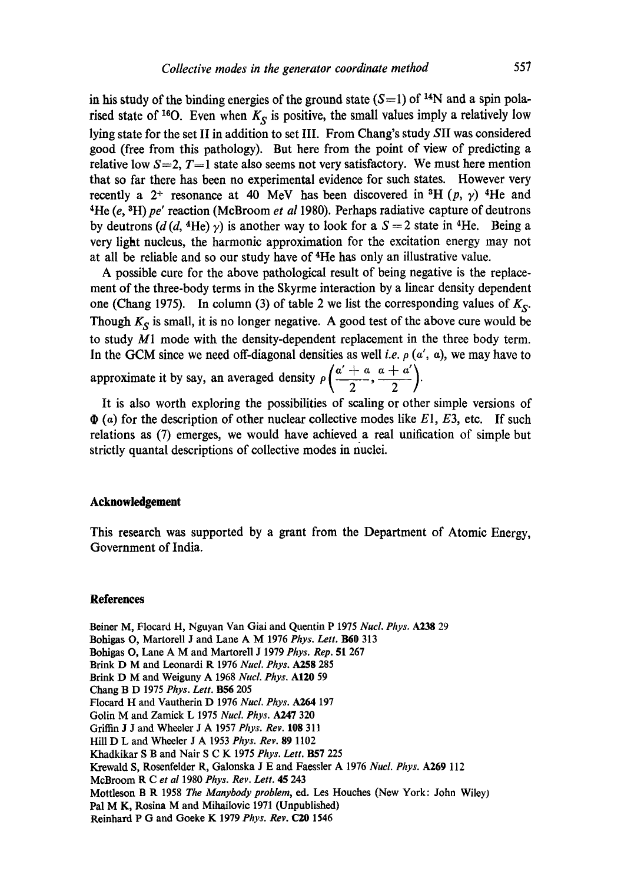in his study of the binding energies of the ground state  $(S=1)$  of <sup>14</sup>N and a spin polarised state of <sup>16</sup>O. Even when  $K_S$  is positive, the small values imply a relatively low lying state for the set II in addition to set IlL From Chang's study SII was considered good (free from this pathology). But here from the point of view of predicting a relative low  $S=2$ ,  $T=1$  state also seems not very satisfactory. We must here mention that so far there has been no experimental evidence for such states. However very recently a 2<sup>+</sup> resonance at 40 MeV has been discovered in <sup>3</sup>H (p,  $\gamma$ ) <sup>4</sup>He and <sup>4</sup>He (e, <sup>3</sup>H) pe' reaction (McBroom *et al* 1980). Perhaps radiative capture of deutrons by deutrons (d(d, <sup>4</sup>He) y) is another way to look for a  $S = 2$  state in <sup>4</sup>He. Being a very light nucleus, the harmonic approximation for the excitation energy may not at all be reliable and so our study have of 4He has only an illustrative value.

A possible cure for the above pathological result of being negative is the replacement of the three-body terms in the Skyrme interaction by a linear density dependent one (Chang 1975). In column (3) of table 2 we list the corresponding values of  $K_S$ . Though  $K_S$  is small, it is no longer negative. A good test of the above cure would be to study M1 mode with the density-dependent replacement in the three body term. In the GCM since we need off-diagonal densities as well *i.e.*  $\rho$  ( $\alpha'$ ,  $\alpha$ ), we may have to approximate it by say, an averaged density  $\rho\left(\frac{a'+a}{2}, \frac{a+a'}{2}\right)$ .

It is also worth exploring the possibilities of scaling or other simple versions of  $\Phi$  (a) for the description of other nuclear collective modes like  $E1, E3$ , etc. If such relations as (7) emerges, we would have achieved a real unification of simple but strictly quantal descriptions of collective modes in nuclei.

## **Acknowledgement**

This research was supported by a grant from the Department of Atomic Energy, Government of India.

## **References**

Beiner M, Flocard H, Nguyan Van Giai and Quentin P 1975 *Nucl. Phys.* A238 29 Bohigas O, Martorell J and Lane A M 1976 *Phys. Lett.* **B60** 313 Bohigas O, Lane A M and Martorell J 1979 *Phys. Rep.* 51 267 Brink D M and Leonardi R 1976 *Nucl. Phys.* A258 285 Brink D M and Weiguny A 1968 *NucL Phys.* AI20 59 Chang B D 1975 *Phys. Lett.* **B56** 205 Flocard H and Vautherin D 1976 *Nucl. Phys. A264* 197 Golin M and Zamick L 1975 *NucL Phys.* A247 320 Griffin J J and Wheeler J A 1957 *Phys. Rev.* 108 311 Hill D L and Wheeler J A 1953 *Phys. Rev.* 89 1102 Khadkikar S B and Nair S C K 1975 *Phys. Lett.* B57 225 Krewald S, Rosenfelder R, Galonska J E and Faessler A 1976 *Nucl. Phys.* A269 112 McBroom R C *et al* 1980 *Phys. Rev. Lett.* 45 243 Mottleson B R 1958 *The Manybody problem,* ed. Les Houches (New York: John Wiley) Pal M K, Rosina M and Mihailovic 1971 (Unpublished) Reinhard P G and Goeke K 1979 *Phys. Rev.* C20 1546